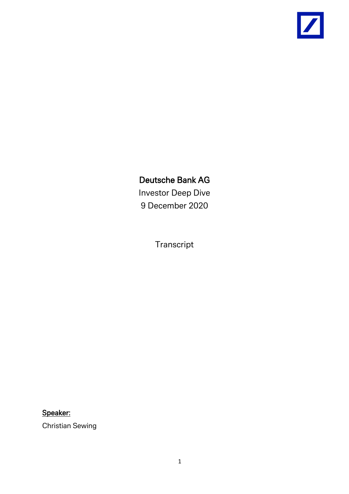

# Deutsche Bank AG

Investor Deep Dive 9 December 2020

Transcript

# Speaker:

Christian Sewing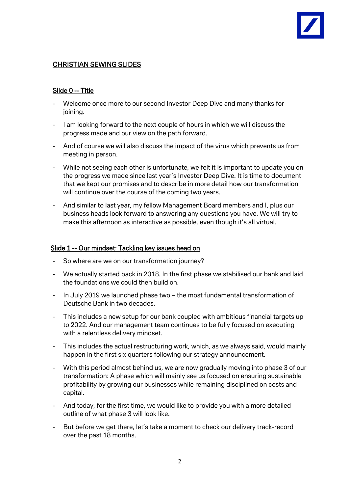# CHRISTIAN SEWING SLIDES

# Slide 0 -- Title

- Welcome once more to our second Investor Deep Dive and many thanks for joining.
- I am looking forward to the next couple of hours in which we will discuss the progress made and our view on the path forward.
- And of course we will also discuss the impact of the virus which prevents us from meeting in person.
- While not seeing each other is unfortunate, we felt it is important to update you on the progress we made since last year's Investor Deep Dive. It is time to document that we kept our promises and to describe in more detail how our transformation will continue over the course of the coming two years.
- And similar to last year, my fellow Management Board members and I, plus our business heads look forward to answering any questions you have. We will try to make this afternoon as interactive as possible, even though it's all virtual.

# Slide 1 -- Our mindset: Tackling key issues head on

- So where are we on our transformation journey?
- We actually started back in 2018. In the first phase we stabilised our bank and laid the foundations we could then build on.
- In July 2019 we launched phase two the most fundamental transformation of Deutsche Bank in two decades.
- This includes a new setup for our bank coupled with ambitious financial targets up to 2022. And our management team continues to be fully focused on executing with a relentless delivery mindset.
- This includes the actual restructuring work, which, as we always said, would mainly happen in the first six quarters following our strategy announcement.
- With this period almost behind us, we are now gradually moving into phase 3 of our transformation: A phase which will mainly see us focused on ensuring sustainable profitability by growing our businesses while remaining disciplined on costs and capital.
- And today, for the first time, we would like to provide you with a more detailed outline of what phase 3 will look like.
- But before we get there, let's take a moment to check our delivery track-record over the past 18 months.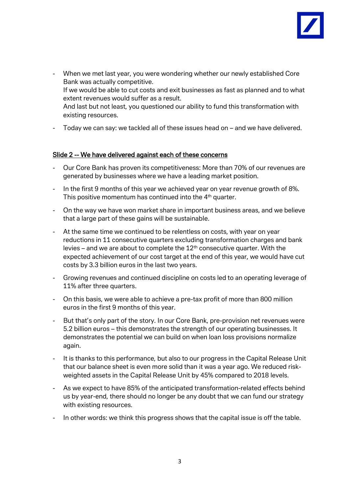

- When we met last year, you were wondering whether our newly established Core Bank was actually competitive. If we would be able to cut costs and exit businesses as fast as planned and to what extent revenues would suffer as a result. And last but not least, you questioned our ability to fund this transformation with existing resources.
- Today we can say: we tackled all of these issues head on and we have delivered.

# Slide 2 -- We have delivered against each of these concerns

- Our Core Bank has proven its competitiveness: More than 70% of our revenues are generated by businesses where we have a leading market position.
- In the first 9 months of this year we achieved year on year revenue growth of 8%. This positive momentum has continued into the 4<sup>th</sup> quarter.
- On the way we have won market share in important business areas, and we believe that a large part of these gains will be sustainable.
- At the same time we continued to be relentless on costs, with year on year reductions in 11 consecutive quarters excluding transformation charges and bank levies – and we are about to complete the  $12<sup>th</sup>$  consecutive quarter. With the expected achievement of our cost target at the end of this year, we would have cut costs by 3.3 billion euros in the last two years.
- Growing revenues and continued discipline on costs led to an operating leverage of 11% after three quarters.
- On this basis, we were able to achieve a pre-tax profit of more than 800 million euros in the first 9 months of this year.
- But that's only part of the story. In our Core Bank, pre-provision net revenues were 5.2 billion euros – this demonstrates the strength of our operating businesses. It demonstrates the potential we can build on when loan loss provisions normalize again.
- It is thanks to this performance, but also to our progress in the Capital Release Unit that our balance sheet is even more solid than it was a year ago. We reduced riskweighted assets in the Capital Release Unit by 45% compared to 2018 levels.
- As we expect to have 85% of the anticipated transformation-related effects behind us by year-end, there should no longer be any doubt that we can fund our strategy with existing resources.
- In other words: we think this progress shows that the capital issue is off the table.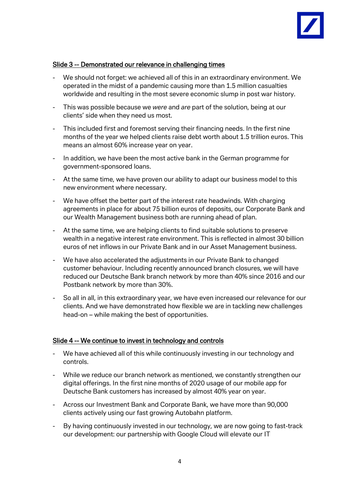

# Slide 3 -- Demonstrated our relevance in challenging times

- We should not forget: we achieved all of this in an extraordinary environment. We operated in the midst of a pandemic causing more than 1.5 million casualties worldwide and resulting in the most severe economic slump in post war history.
- This was possible because we *were* and *are* part of the solution, being at our clients' side when they need us most.
- This included first and foremost serving their financing needs. In the first nine months of the year we helped clients raise debt worth about 1.5 trillion euros. This means an almost 60% increase year on year.
- In addition, we have been the most active bank in the German programme for government-sponsored loans.
- At the same time, we have proven our ability to adapt our business model to this new environment where necessary.
- We have offset the better part of the interest rate headwinds. With charging agreements in place for about 75 billion euros of deposits, our Corporate Bank and our Wealth Management business both are running ahead of plan.
- At the same time, we are helping clients to find suitable solutions to preserve wealth in a negative interest rate environment. This is reflected in almost 30 billion euros of net inflows in our Private Bank and in our Asset Management business.
- We have also accelerated the adjustments in our Private Bank to changed customer behaviour. Including recently announced branch closures, we will have reduced our Deutsche Bank branch network by more than 40% since 2016 and our Postbank network by more than 30%.
- So all in all, in this extraordinary year, we have even increased our relevance for our clients. And we have demonstrated how flexible we are in tackling new challenges head-on – while making the best of opportunities.

#### Slide 4 -- We continue to invest in technology and controls

- We have achieved all of this while continuously investing in our technology and controls.
- While we reduce our branch network as mentioned, we constantly strengthen our digital offerings. In the first nine months of 2020 usage of our mobile app for Deutsche Bank customers has increased by almost 40% year on year.
- Across our Investment Bank and Corporate Bank, we have more than 90,000 clients actively using our fast growing Autobahn platform.
- By having continuously invested in our technology, we are now going to fast-track our development: our partnership with Google Cloud will elevate our IT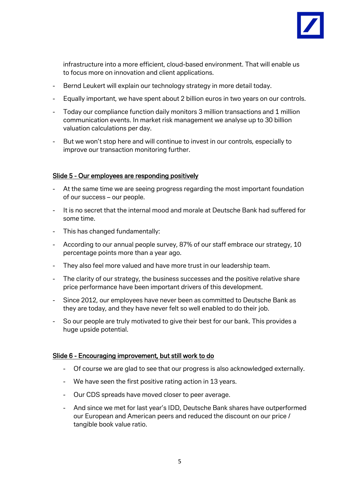

infrastructure into a more efficient, cloud-based environment. That will enable us to focus more on innovation and client applications.

- Bernd Leukert will explain our technology strategy in more detail today.
- Equally important, we have spent about 2 billion euros in two years on our controls.
- Today our compliance function daily monitors 3 million transactions and 1 million communication events. In market risk management we analyse up to 30 billion valuation calculations per day.
- But we won't stop here and will continue to invest in our controls, especially to improve our transaction monitoring further.

# Slide 5 - Our employees are responding positively

- At the same time we are seeing progress regarding the most important foundation of our success – our people.
- It is no secret that the internal mood and morale at Deutsche Bank had suffered for some time.
- This has changed fundamentally:
- According to our annual people survey, 87% of our staff embrace our strategy, 10 percentage points more than a year ago.
- They also feel more valued and have more trust in our leadership team.
- The clarity of our strategy, the business successes and the positive relative share price performance have been important drivers of this development.
- Since 2012, our employees have never been as committed to Deutsche Bank as they are today, and they have never felt so well enabled to do their job.
- So our people are truly motivated to give their best for our bank. This provides a huge upside potential.

#### Slide 6 - Encouraging improvement, but still work to do

- Of course we are glad to see that our progress is also acknowledged externally.
- We have seen the first positive rating action in 13 years.
- Our CDS spreads have moved closer to peer average.
- And since we met for last year's IDD, Deutsche Bank shares have outperformed our European and American peers and reduced the discount on our price / tangible book value ratio.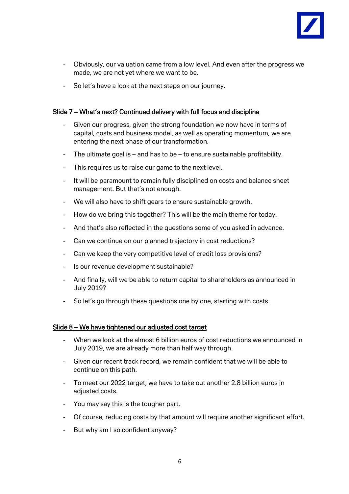

- Obviously, our valuation came from a low level. And even after the progress we made, we are not yet where we want to be.
- So let's have a look at the next steps on our journey.

# Slide 7 – What's next? Continued delivery with full focus and discipline

- Given our progress, given the strong foundation we now have in terms of capital, costs and business model, as well as operating momentum, we are entering the next phase of our transformation.
- The ultimate goal is and has to be to ensure sustainable profitability.
- This requires us to raise our game to the next level.
- It will be paramount to remain fully disciplined on costs and balance sheet management. But that's not enough.
- We will also have to shift gears to ensure sustainable growth.
- How do we bring this together? This will be the main theme for today.
- And that's also reflected in the questions some of you asked in advance.
- Can we continue on our planned trajectory in cost reductions?
- Can we keep the very competitive level of credit loss provisions?
- Is our revenue development sustainable?
- And finally, will we be able to return capital to shareholders as announced in July 2019?
- So let's go through these questions one by one, starting with costs.

#### Slide 8 – We have tightened our adjusted cost target

- When we look at the almost 6 billion euros of cost reductions we announced in July 2019, we are already more than half way through.
- Given our recent track record, we remain confident that we will be able to continue on this path.
- To meet our 2022 target, we have to take out another 2.8 billion euros in adiusted costs.
- You may say this is the tougher part.
- Of course, reducing costs by that amount will require another significant effort.
- But why am I so confident anyway?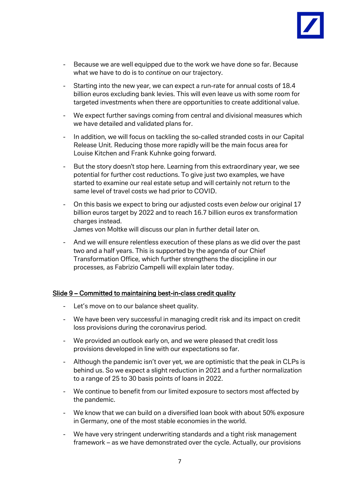

- Because we are well equipped due to the work we have done so far. Because what we have to do is to *continue* on our trajectory.
- Starting into the new year, we can expect a run-rate for annual costs of 18.4 billion euros excluding bank levies. This will even leave us with some room for targeted investments when there are opportunities to create additional value.
- We expect further savings coming from central and divisional measures which we have detailed and validated plans for.
- In addition, we will focus on tackling the so-called stranded costs in our Capital Release Unit. Reducing those more rapidly will be the main focus area for Louise Kitchen and Frank Kuhnke going forward.
- But the story doesn't stop here. Learning from this extraordinary year, we see potential for further cost reductions. To give just two examples, we have started to examine our real estate setup and will certainly not return to the same level of travel costs we had prior to COVID.
- On this basis we expect to bring our adjusted costs even *below* our original 17 billion euros target by 2022 and to reach 16.7 billion euros ex transformation charges instead.

James von Moltke will discuss our plan in further detail later on.

- And we will ensure relentless execution of these plans as we did over the past two and a half years. This is supported by the agenda of our Chief Transformation Office, which further strengthens the discipline in our processes, as Fabrizio Campelli will explain later today.

#### Slide 9 – Committed to maintaining best-in-class credit quality

- Let's move on to our balance sheet quality.
- We have been very successful in managing credit risk and its impact on credit loss provisions during the coronavirus period.
- We provided an outlook early on, and we were pleased that credit loss provisions developed in line with our expectations so far.
- Although the pandemic isn't over yet, we are optimistic that the peak in CLPs is behind us. So we expect a slight reduction in 2021 and a further normalization to a range of 25 to 30 basis points of loans in 2022.
- We continue to benefit from our limited exposure to sectors most affected by the pandemic.
- We know that we can build on a diversified loan book with about 50% exposure in Germany, one of the most stable economies in the world.
- We have very stringent underwriting standards and a tight risk management framework – as we have demonstrated over the cycle. Actually, our provisions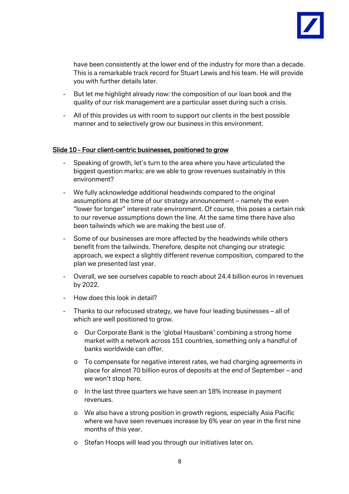

have been consistently at the lower end of the industry for more than a decade. This is a remarkable track record for Stuart Lewis and his team. He will provide you with further details later.

- But let me highlight already now: the composition of our loan book and the quality of our risk management are a particular asset during such a crisis.
- All of this provides us with room to support our clients in the best possible manner and to selectively grow our business in this environment.

#### Slide 10 - Four client-centric businesses, positioned to grow

- Speaking of growth, let's turn to the area where you have articulated the biggest question marks: are we able to grow revenues sustainably in this environment?
- We fully acknowledge additional headwinds compared to the original assumptions at the time of our strategy announcement – namely the even "lower for longer" interest rate environment. Of course, this poses a certain risk to our revenue assumptions down the line. At the same time there have also been tailwinds which we are making the best use of.
- Some of our businesses are more affected by the headwinds while others benefit from the tailwinds. Therefore, despite not changing our strategic approach, we expect a slightly different revenue composition, compared to the plan we presented last year.
- Overall, we see ourselves capable to reach about 24.4 billion euros in revenues by 2022.
- How does this look in detail?
- Thanks to our refocused strategy, we have four leading businesses all of which are well positioned to grow.
	- o Our Corporate Bank is the 'global Hausbank' combining a strong home market with a network across 151 countries, something only a handful of banks worldwide can offer.
	- o To compensate for negative interest rates, we had charging agreements in place for almost 70 billion euros of deposits at the end of September – and we won't stop here.
	- o In the last three quarters we have seen an 18% increase in payment revenues.
	- o We also have a strong position in growth regions, especially Asia Pacific where we have seen revenues increase by 6% year on year in the first nine months of this year.
	- o Stefan Hoops will lead you through our initiatives later on.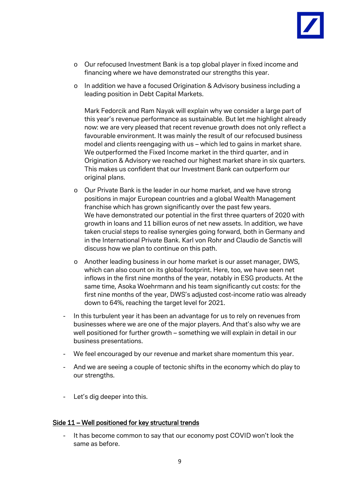

- o Our refocused Investment Bank is a top global player in fixed income and financing where we have demonstrated our strengths this year.
- o In addition we have a focused Origination & Advisory business including a leading position in Debt Capital Markets.

Mark Fedorcik and Ram Nayak will explain why we consider a large part of this year's revenue performance as sustainable. But let me highlight already now: we are very pleased that recent revenue growth does not only reflect a favourable environment. It was mainly the result of our refocused business model and clients reengaging with us – which led to gains in market share. We outperformed the Fixed Income market in the third quarter, and in Origination & Advisory we reached our highest market share in six quarters. This makes us confident that our Investment Bank can outperform our original plans.

- o Our Private Bank is the leader in our home market, and we have strong positions in major European countries and a global Wealth Management franchise which has grown significantly over the past few years. We have demonstrated our potential in the first three quarters of 2020 with growth in loans and 11 billion euros of net new assets. In addition, we have taken crucial steps to realise synergies going forward, both in Germany and in the International Private Bank. Karl von Rohr and Claudio de Sanctis will discuss how we plan to continue on this path.
- o Another leading business in our home market is our asset manager, DWS, which can also count on its global footprint. Here, too, we have seen net inflows in the first nine months of the year, notably in ESG products. At the same time, Asoka Woehrmann and his team significantly cut costs: for the first nine months of the year, DWS's adjusted cost-income ratio was already down to 64%, reaching the target level for 2021.
- In this turbulent year it has been an advantage for us to rely on revenues from businesses where we are one of the major players. And that's also why we are well positioned for further growth – something we will explain in detail in our business presentations.
- We feel encouraged by our revenue and market share momentum this year.
- And we are seeing a couple of tectonic shifts in the economy which do play to our strengths.
- Let's dig deeper into this.

#### Side 11 – Well positioned for key structural trends

- It has become common to say that our economy post COVID won't look the same as before.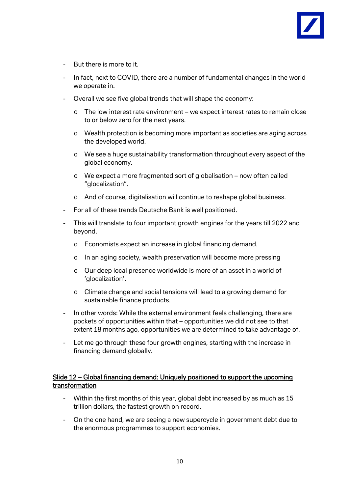

- But there is more to it.
- In fact, next to COVID, there are a number of fundamental changes in the world we operate in.
- Overall we see five global trends that will shape the economy:
	- o The low interest rate environment we expect interest rates to remain close to or below zero for the next years.
	- o Wealth protection is becoming more important as societies are aging across the developed world.
	- o We see a huge sustainability transformation throughout every aspect of the global economy.
	- o We expect a more fragmented sort of globalisation now often called "glocalization".
	- o And of course, digitalisation will continue to reshape global business.
- For all of these trends Deutsche Bank is well positioned.
- This will translate to four important growth engines for the years till 2022 and beyond.
	- o Economists expect an increase in global financing demand.
	- o In an aging society, wealth preservation will become more pressing
	- o Our deep local presence worldwide is more of an asset in a world of 'glocalization'.
	- o Climate change and social tensions will lead to a growing demand for sustainable finance products.
- In other words: While the external environment feels challenging, there are pockets of opportunities within that – opportunities we did not see to that extent 18 months ago, opportunities we are determined to take advantage of.
- Let me go through these four growth engines, starting with the increase in financing demand globally.

# Slide 12 – Global financing demand: Uniquely positioned to support the upcoming transformation

- Within the first months of this year, global debt increased by as much as 15 trillion dollars, the fastest growth on record.
- On the one hand, we are seeing a new supercycle in government debt due to the enormous programmes to support economies.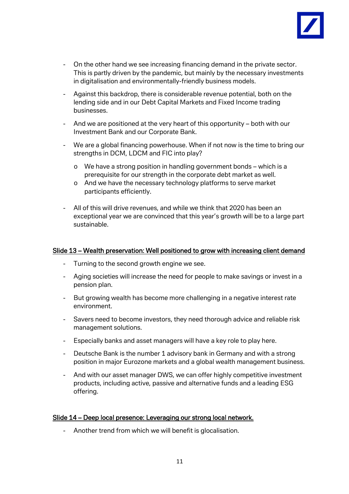

- On the other hand we see increasing financing demand in the private sector. This is partly driven by the pandemic, but mainly by the necessary investments in digitalisation and environmentally-friendly business models.
- Against this backdrop, there is considerable revenue potential, both on the lending side and in our Debt Capital Markets and Fixed Income trading businesses.
- And we are positioned at the very heart of this opportunity both with our Investment Bank and our Corporate Bank.
- We are a global financing powerhouse. When if not now is the time to bring our strengths in DCM, LDCM and FIC into play?
	- o We have a strong position in handling government bonds which is a prerequisite for our strength in the corporate debt market as well.
	- o And we have the necessary technology platforms to serve market participants efficiently.
- All of this will drive revenues, and while we think that 2020 has been an exceptional year we are convinced that this year's growth will be to a large part sustainable.

### Slide 13 – Wealth preservation: Well positioned to grow with increasing client demand

- Turning to the second growth engine we see.
- Aging societies will increase the need for people to make savings or invest in a pension plan.
- But growing wealth has become more challenging in a negative interest rate environment.
- Savers need to become investors, they need thorough advice and reliable risk management solutions.
- Especially banks and asset managers will have a key role to play here.
- Deutsche Bank is the number 1 advisory bank in Germany and with a strong position in major Eurozone markets and a global wealth management business.
- And with our asset manager DWS, we can offer highly competitive investment products, including active, passive and alternative funds and a leading ESG offering.

#### Slide 14 – Deep local presence: Leveraging our strong local network.

- Another trend from which we will benefit is glocalisation.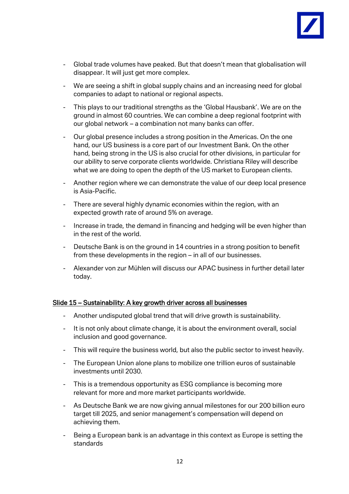

- Global trade volumes have peaked. But that doesn't mean that globalisation will disappear. It will just get more complex.
- We are seeing a shift in global supply chains and an increasing need for global companies to adapt to national or regional aspects.
- This plays to our traditional strengths as the 'Global Hausbank'. We are on the ground in almost 60 countries. We can combine a deep regional footprint with our global network – a combination not many banks can offer.
- Our global presence includes a strong position in the Americas. On the one hand, our US business is a core part of our Investment Bank. On the other hand, being strong in the US is also crucial for other divisions, in particular for our ability to serve corporate clients worldwide. Christiana Riley will describe what we are doing to open the depth of the US market to European clients.
- Another region where we can demonstrate the value of our deep local presence is Asia-Pacific.
- There are several highly dynamic economies within the region, with an expected growth rate of around 5% on average.
- Increase in trade, the demand in financing and hedging will be even higher than in the rest of the world.
- Deutsche Bank is on the ground in 14 countries in a strong position to benefit from these developments in the region – in all of our businesses.
- Alexander von zur Mühlen will discuss our APAC business in further detail later today.

# Slide 15 – Sustainability: A key growth driver across all businesses

- Another undisputed global trend that will drive growth is sustainability.
- It is not only about climate change, it is about the environment overall, social inclusion and good governance.
- This will require the business world, but also the public sector to invest heavily.
- The European Union alone plans to mobilize one trillion euros of sustainable investments until 2030.
- This is a tremendous opportunity as ESG compliance is becoming more relevant for more and more market participants worldwide.
- As Deutsche Bank we are now giving annual milestones for our 200 billion euro target till 2025, and senior management's compensation will depend on achieving them.
- Being a European bank is an advantage in this context as Europe is setting the standards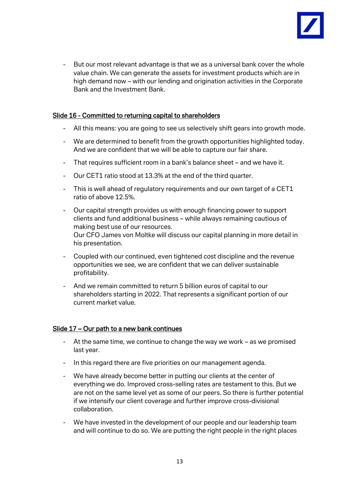

- But our most relevant advantage is that we as a universal bank cover the whole value chain. We can generate the assets for investment products which are in high demand now – with our lending and origination activities in the Corporate Bank and the Investment Bank.

# Slide 16 - Committed to returning capital to shareholders

- All this means: you are going to see us selectively shift gears into growth mode.
- We are determined to benefit from the growth opportunities highlighted today. And we are confident that we will be able to capture our fair share.
- That requires sufficient room in a bank's balance sheet and we have it.
- Our CET1 ratio stood at 13.3% at the end of the third quarter.
- This is well ahead of regulatory requirements and our own target of a CET1 ratio of above 12.5%.
- Our capital strength provides us with enough financing power to support clients and fund additional business – while always remaining cautious of making best use of our resources.

Our CFO James von Moltke will discuss our capital planning in more detail in his presentation.

- Coupled with our continued, even tightened cost discipline and the revenue opportunities we see, we are confident that we can deliver sustainable profitability.
- And we remain committed to return 5 billion euros of capital to our shareholders starting in 2022. That represents a significant portion of our current market value.

# Slide 17 – Our path to a new bank continues

- At the same time, we continue to change the way we work as we promised last year.
- In this regard there are five priorities on our management agenda.
- We have already become better in putting our clients at the center of everything we do. Improved cross-selling rates are testament to this. But we are not on the same level yet as some of our peers. So there is further potential if we intensify our client coverage and further improve cross-divisional collaboration.
- We have invested in the development of our people and our leadership team and will continue to do so. We are putting the right people in the right places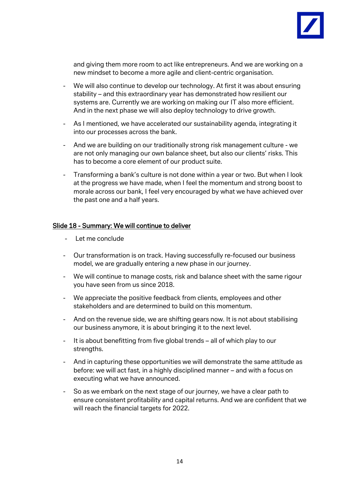

and giving them more room to act like entrepreneurs. And we are working on a new mindset to become a more agile and client-centric organisation.

- We will also continue to develop our technology. At first it was about ensuring stability – and this extraordinary year has demonstrated how resilient our systems are. Currently we are working on making our IT also more efficient. And in the next phase we will also deploy technology to drive growth.
- As I mentioned, we have accelerated our sustainability agenda, integrating it into our processes across the bank.
- And we are building on our traditionally strong risk management culture we are not only managing our own balance sheet, but also our clients' risks. This has to become a core element of our product suite.
- Transforming a bank's culture is not done within a year or two. But when I look at the progress we have made, when I feel the momentum and strong boost to morale across our bank, I feel very encouraged by what we have achieved over the past one and a half years.

#### Slide 18 - Summary: We will continue to deliver

- Let me conclude
- Our transformation is on track. Having successfully re-focused our business model, we are gradually entering a new phase in our journey.
- We will continue to manage costs, risk and balance sheet with the same rigour you have seen from us since 2018.
- We appreciate the positive feedback from clients, employees and other stakeholders and are determined to build on this momentum.
- And on the revenue side, we are shifting gears now. It is not about stabilising our business anymore, it is about bringing it to the next level.
- It is about benefitting from five global trends all of which play to our strengths.
- And in capturing these opportunities we will demonstrate the same attitude as before: we will act fast, in a highly disciplined manner – and with a focus on executing what we have announced.
- So as we embark on the next stage of our journey, we have a clear path to ensure consistent profitability and capital returns. And we are confident that we will reach the financial targets for 2022.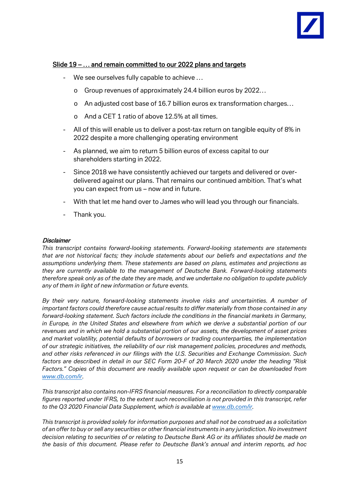

# Slide 19 – … and remain committed to our 2022 plans and targets

- We see ourselves fully capable to achieve ...
	- o Group revenues of approximately 24.4 billion euros by 2022…
	- o An adjusted cost base of 16.7 billion euros ex transformation charges…
	- o And a CET 1 ratio of above 12.5% at all times.
- All of this will enable us to deliver a post-tax return on tangible equity of 8% in 2022 despite a more challenging operating environment
- As planned, we aim to return 5 billion euros of excess capital to our shareholders starting in 2022.
- Since 2018 we have consistently achieved our targets and delivered or overdelivered against our plans. That remains our continued ambition. That's what you can expect from us – now and in future.
- With that let me hand over to James who will lead you through our financials.
- Thank you.

#### **Disclaimer**

*This transcript contains forward-looking statements. Forward-looking statements are statements that are not historical facts; they include statements about our beliefs and expectations and the assumptions underlying them. These statements are based on plans, estimates and projections as they are currently available to the management of Deutsche Bank. Forward-looking statements therefore speak only as of the date they are made, and we undertake no obligation to update publicly any of them in light of new information or future events.*

*By their very nature, forward-looking statements involve risks and uncertainties. A number of important factors could therefore cause actual results to differ materially from those contained in any forward-looking statement. Such factors include the conditions in the financial markets in Germany, in Europe, in the United States and elsewhere from which we derive a substantial portion of our revenues and in which we hold a substantial portion of our assets, the development of asset prices and market volatility, potential defaults of borrowers or trading counterparties, the implementation of our strategic initiatives, the reliability of our risk management policies, procedures and methods, and other risks referenced in our filings with the U.S. Securities and Exchange Commission. Such factors are described in detail in our SEC Form 20-F of 20 March 2020 under the heading "Risk Factors." Copies of this document are readily available upon request or can be downloaded from [www.db.com/ir.](http://www.db.com/ir)*

*This transcript also contains non-IFRS financial measures. For a reconciliation to directly comparable figures reported under IFRS, to the extent such reconciliation is not provided in this transcript, refer to the Q3 2020 Financial Data Supplement, which is available at [www.db.com/ir.](http://www.db.com/ir)*

*This transcript is provided solely for information purposes and shall not be construed as a solicitation of an offer to buy or sell any securities or other financial instruments in any jurisdiction. No investment decision relating to securities of or relating to Deutsche Bank AG or its affiliates should be made on the basis of this document. Please refer to Deutsche Bank's annual and interim reports, ad hoc*